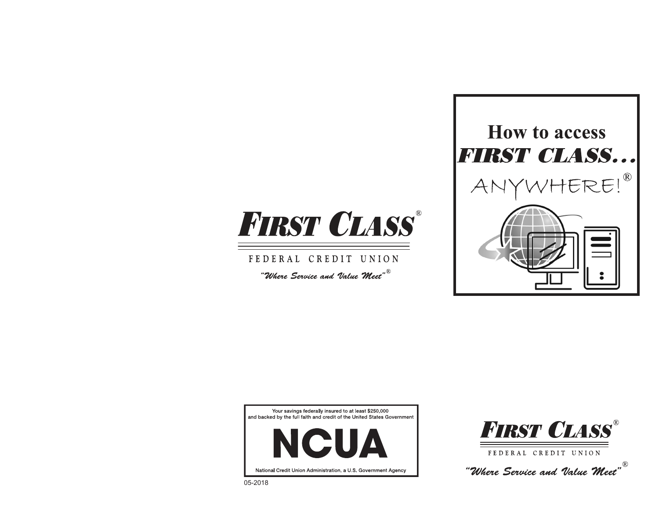

FEDERAL CREDIT UNION "Where Service and Value  ${\mathcal{W}\textit{eet}}^{\textit{w}}$ 



Your savings federally insured to at least \$250,000 and backed by the full faith and credit of the United States Government





FEDERAL CREDIT UNION

"Where Service and Value  ${\mathcal{M}}$ eet"  $^\circ$